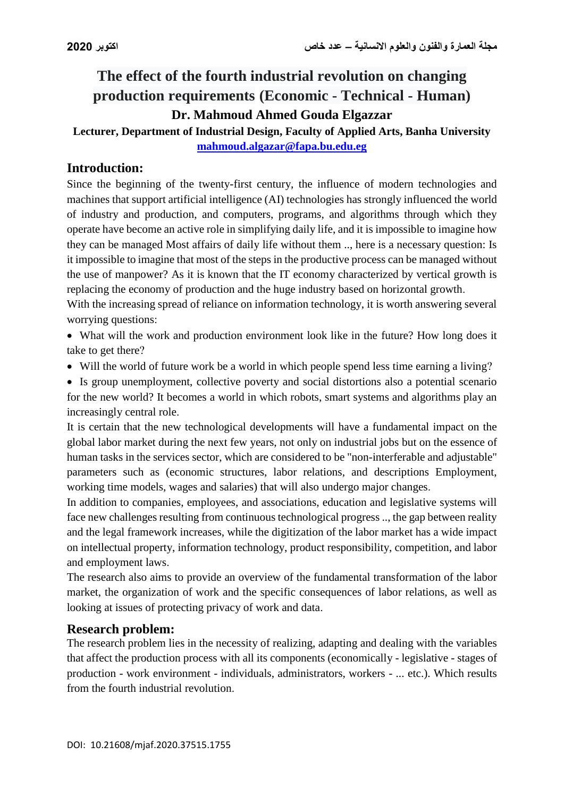# **The effect of the fourth industrial revolution on changing production requirements (Economic - Technical - Human) Dr. Mahmoud Ahmed Gouda Elgazzar**

## **Lecturer, Department of Industrial Design, Faculty of Applied Arts, Banha University [mahmoud.algazar@fapa.bu.edu.eg](mailto:mahmoud.algazar@fapa.bu.edu.eg)**

## **Introduction:**

Since the beginning of the twenty-first century, the influence of modern technologies and machines that support artificial intelligence (AI) technologies has strongly influenced the world of industry and production, and computers, programs, and algorithms through which they operate have become an active role in simplifying daily life, and it is impossible to imagine how they can be managed Most affairs of daily life without them .., here is a necessary question: Is it impossible to imagine that most of the steps in the productive process can be managed without the use of manpower? As it is known that the IT economy characterized by vertical growth is replacing the economy of production and the huge industry based on horizontal growth.

With the increasing spread of reliance on information technology, it is worth answering several worrying questions:

 What will the work and production environment look like in the future? How long does it take to get there?

Will the world of future work be a world in which people spend less time earning a living?

 Is group unemployment, collective poverty and social distortions also a potential scenario for the new world? It becomes a world in which robots, smart systems and algorithms play an increasingly central role.

It is certain that the new technological developments will have a fundamental impact on the global labor market during the next few years, not only on industrial jobs but on the essence of human tasks in the services sector, which are considered to be "non-interferable and adjustable" parameters such as (economic structures, labor relations, and descriptions Employment, working time models, wages and salaries) that will also undergo major changes.

In addition to companies, employees, and associations, education and legislative systems will face new challenges resulting from continuous technological progress .., the gap between reality and the legal framework increases, while the digitization of the labor market has a wide impact on intellectual property, information technology, product responsibility, competition, and labor and employment laws.

The research also aims to provide an overview of the fundamental transformation of the labor market, the organization of work and the specific consequences of labor relations, as well as looking at issues of protecting privacy of work and data.

## **Research problem:**

The research problem lies in the necessity of realizing, adapting and dealing with the variables that affect the production process with all its components (economically - legislative - stages of production - work environment - individuals, administrators, workers - ... etc.). Which results from the fourth industrial revolution.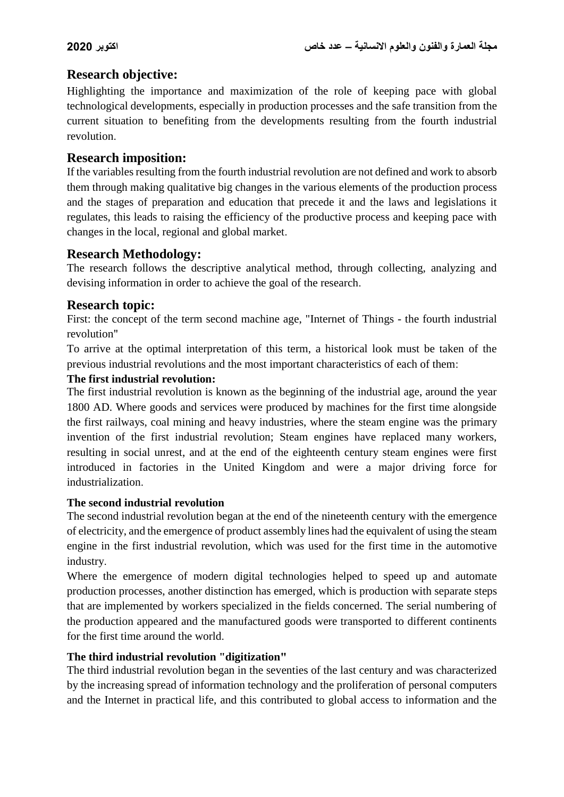## **Research objective:**

Highlighting the importance and maximization of the role of keeping pace with global technological developments, especially in production processes and the safe transition from the current situation to benefiting from the developments resulting from the fourth industrial revolution.

## **Research imposition:**

If the variables resulting from the fourth industrial revolution are not defined and work to absorb them through making qualitative big changes in the various elements of the production process and the stages of preparation and education that precede it and the laws and legislations it regulates, this leads to raising the efficiency of the productive process and keeping pace with changes in the local, regional and global market.

## **Research Methodology:**

The research follows the descriptive analytical method, through collecting, analyzing and devising information in order to achieve the goal of the research.

## **Research topic:**

First: the concept of the term second machine age, "Internet of Things - the fourth industrial revolution"

To arrive at the optimal interpretation of this term, a historical look must be taken of the previous industrial revolutions and the most important characteristics of each of them:

#### **The first industrial revolution:**

The first industrial revolution is known as the beginning of the industrial age, around the year 1800 AD. Where goods and services were produced by machines for the first time alongside the first railways, coal mining and heavy industries, where the steam engine was the primary invention of the first industrial revolution; Steam engines have replaced many workers, resulting in social unrest, and at the end of the eighteenth century steam engines were first introduced in factories in the United Kingdom and were a major driving force for industrialization.

## **The second industrial revolution**

The second industrial revolution began at the end of the nineteenth century with the emergence of electricity, and the emergence of product assembly lines had the equivalent of using the steam engine in the first industrial revolution, which was used for the first time in the automotive industry.

Where the emergence of modern digital technologies helped to speed up and automate production processes, another distinction has emerged, which is production with separate steps that are implemented by workers specialized in the fields concerned. The serial numbering of the production appeared and the manufactured goods were transported to different continents for the first time around the world.

## **The third industrial revolution "digitization"**

The third industrial revolution began in the seventies of the last century and was characterized by the increasing spread of information technology and the proliferation of personal computers and the Internet in practical life, and this contributed to global access to information and the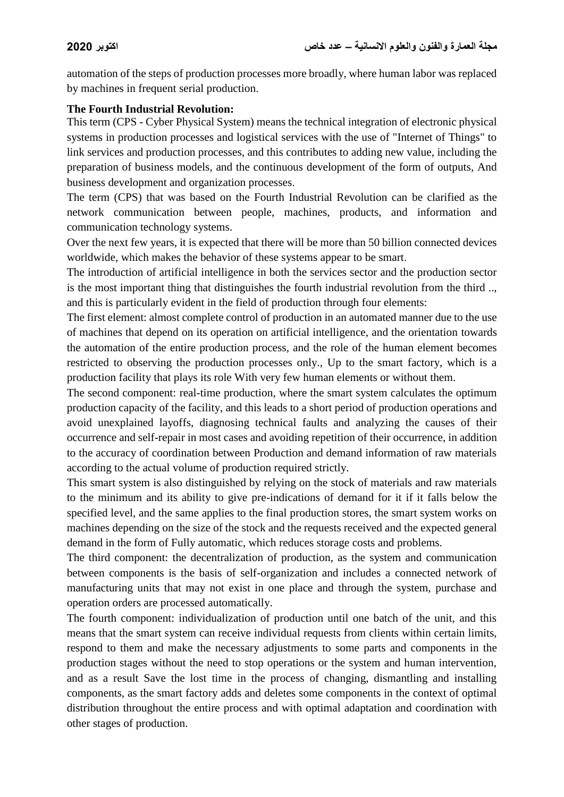automation of the steps of production processes more broadly, where human labor was replaced by machines in frequent serial production.

#### **The Fourth Industrial Revolution:**

This term (CPS - Cyber Physical System) means the technical integration of electronic physical systems in production processes and logistical services with the use of "Internet of Things" to link services and production processes, and this contributes to adding new value, including the preparation of business models, and the continuous development of the form of outputs, And business development and organization processes.

The term (CPS) that was based on the Fourth Industrial Revolution can be clarified as the network communication between people, machines, products, and information and communication technology systems.

Over the next few years, it is expected that there will be more than 50 billion connected devices worldwide, which makes the behavior of these systems appear to be smart.

The introduction of artificial intelligence in both the services sector and the production sector is the most important thing that distinguishes the fourth industrial revolution from the third .., and this is particularly evident in the field of production through four elements:

The first element: almost complete control of production in an automated manner due to the use of machines that depend on its operation on artificial intelligence, and the orientation towards the automation of the entire production process, and the role of the human element becomes restricted to observing the production processes only., Up to the smart factory, which is a production facility that plays its role With very few human elements or without them.

The second component: real-time production, where the smart system calculates the optimum production capacity of the facility, and this leads to a short period of production operations and avoid unexplained layoffs, diagnosing technical faults and analyzing the causes of their occurrence and self-repair in most cases and avoiding repetition of their occurrence, in addition to the accuracy of coordination between Production and demand information of raw materials according to the actual volume of production required strictly.

This smart system is also distinguished by relying on the stock of materials and raw materials to the minimum and its ability to give pre-indications of demand for it if it falls below the specified level, and the same applies to the final production stores, the smart system works on machines depending on the size of the stock and the requests received and the expected general demand in the form of Fully automatic, which reduces storage costs and problems.

The third component: the decentralization of production, as the system and communication between components is the basis of self-organization and includes a connected network of manufacturing units that may not exist in one place and through the system, purchase and operation orders are processed automatically.

The fourth component: individualization of production until one batch of the unit, and this means that the smart system can receive individual requests from clients within certain limits, respond to them and make the necessary adjustments to some parts and components in the production stages without the need to stop operations or the system and human intervention, and as a result Save the lost time in the process of changing, dismantling and installing components, as the smart factory adds and deletes some components in the context of optimal distribution throughout the entire process and with optimal adaptation and coordination with other stages of production.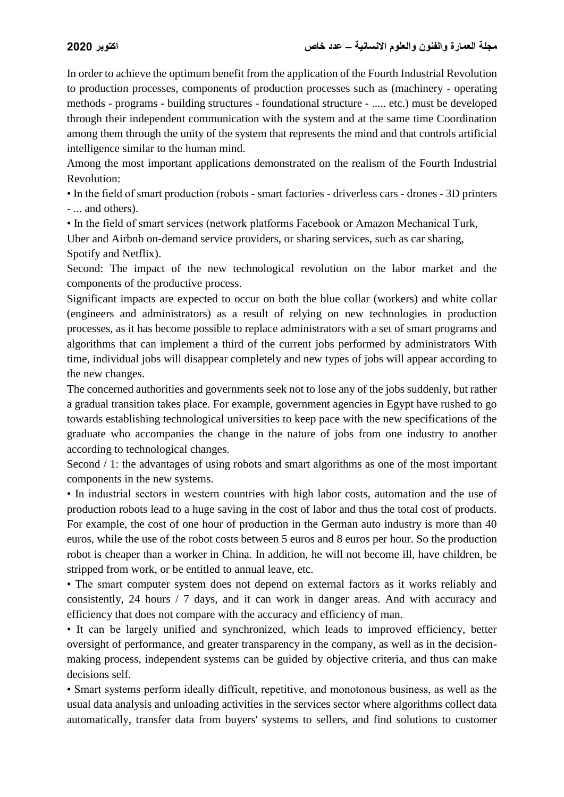In order to achieve the optimum benefit from the application of the Fourth Industrial Revolution to production processes, components of production processes such as (machinery - operating methods - programs - building structures - foundational structure - ..... etc.) must be developed through their independent communication with the system and at the same time Coordination among them through the unity of the system that represents the mind and that controls artificial intelligence similar to the human mind.

Among the most important applications demonstrated on the realism of the Fourth Industrial Revolution:

• In the field of smart production (robots - smart factories - driverless cars - drones - 3D printers - ... and others).

• In the field of smart services (network platforms Facebook or Amazon Mechanical Turk,

Uber and Airbnb on-demand service providers, or sharing services, such as car sharing, Spotify and Netflix).

Second: The impact of the new technological revolution on the labor market and the components of the productive process.

Significant impacts are expected to occur on both the blue collar (workers) and white collar (engineers and administrators) as a result of relying on new technologies in production processes, as it has become possible to replace administrators with a set of smart programs and algorithms that can implement a third of the current jobs performed by administrators With time, individual jobs will disappear completely and new types of jobs will appear according to the new changes.

The concerned authorities and governments seek not to lose any of the jobs suddenly, but rather a gradual transition takes place. For example, government agencies in Egypt have rushed to go towards establishing technological universities to keep pace with the new specifications of the graduate who accompanies the change in the nature of jobs from one industry to another according to technological changes.

Second  $/ 1$ : the advantages of using robots and smart algorithms as one of the most important components in the new systems.

• In industrial sectors in western countries with high labor costs, automation and the use of production robots lead to a huge saving in the cost of labor and thus the total cost of products. For example, the cost of one hour of production in the German auto industry is more than 40 euros, while the use of the robot costs between 5 euros and 8 euros per hour. So the production robot is cheaper than a worker in China. In addition, he will not become ill, have children, be stripped from work, or be entitled to annual leave, etc.

• The smart computer system does not depend on external factors as it works reliably and consistently, 24 hours / 7 days, and it can work in danger areas. And with accuracy and efficiency that does not compare with the accuracy and efficiency of man.

• It can be largely unified and synchronized, which leads to improved efficiency, better oversight of performance, and greater transparency in the company, as well as in the decisionmaking process, independent systems can be guided by objective criteria, and thus can make decisions self.

• Smart systems perform ideally difficult, repetitive, and monotonous business, as well as the usual data analysis and unloading activities in the services sector where algorithms collect data automatically, transfer data from buyers' systems to sellers, and find solutions to customer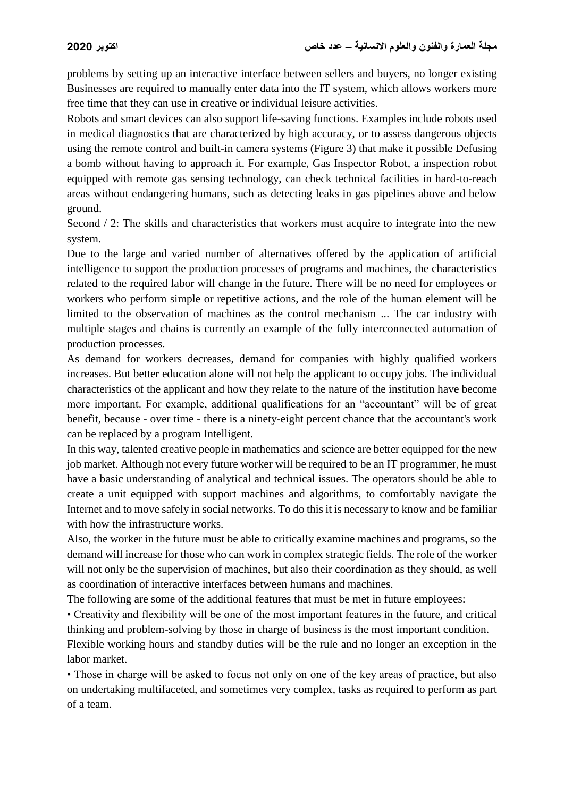problems by setting up an interactive interface between sellers and buyers, no longer existing Businesses are required to manually enter data into the IT system, which allows workers more free time that they can use in creative or individual leisure activities.

Robots and smart devices can also support life-saving functions. Examples include robots used in medical diagnostics that are characterized by high accuracy, or to assess dangerous objects using the remote control and built-in camera systems (Figure 3) that make it possible Defusing a bomb without having to approach it. For example, Gas Inspector Robot, a inspection robot equipped with remote gas sensing technology, can check technical facilities in hard-to-reach areas without endangering humans, such as detecting leaks in gas pipelines above and below ground.

Second / 2: The skills and characteristics that workers must acquire to integrate into the new system.

Due to the large and varied number of alternatives offered by the application of artificial intelligence to support the production processes of programs and machines, the characteristics related to the required labor will change in the future. There will be no need for employees or workers who perform simple or repetitive actions, and the role of the human element will be limited to the observation of machines as the control mechanism ... The car industry with multiple stages and chains is currently an example of the fully interconnected automation of production processes.

As demand for workers decreases, demand for companies with highly qualified workers increases. But better education alone will not help the applicant to occupy jobs. The individual characteristics of the applicant and how they relate to the nature of the institution have become more important. For example, additional qualifications for an "accountant" will be of great benefit, because - over time - there is a ninety-eight percent chance that the accountant's work can be replaced by a program Intelligent.

In this way, talented creative people in mathematics and science are better equipped for the new job market. Although not every future worker will be required to be an IT programmer, he must have a basic understanding of analytical and technical issues. The operators should be able to create a unit equipped with support machines and algorithms, to comfortably navigate the Internet and to move safely in social networks. To do this it is necessary to know and be familiar with how the infrastructure works.

Also, the worker in the future must be able to critically examine machines and programs, so the demand will increase for those who can work in complex strategic fields. The role of the worker will not only be the supervision of machines, but also their coordination as they should, as well as coordination of interactive interfaces between humans and machines.

The following are some of the additional features that must be met in future employees:

• Creativity and flexibility will be one of the most important features in the future, and critical thinking and problem-solving by those in charge of business is the most important condition.

Flexible working hours and standby duties will be the rule and no longer an exception in the labor market.

• Those in charge will be asked to focus not only on one of the key areas of practice, but also on undertaking multifaceted, and sometimes very complex, tasks as required to perform as part of a team.